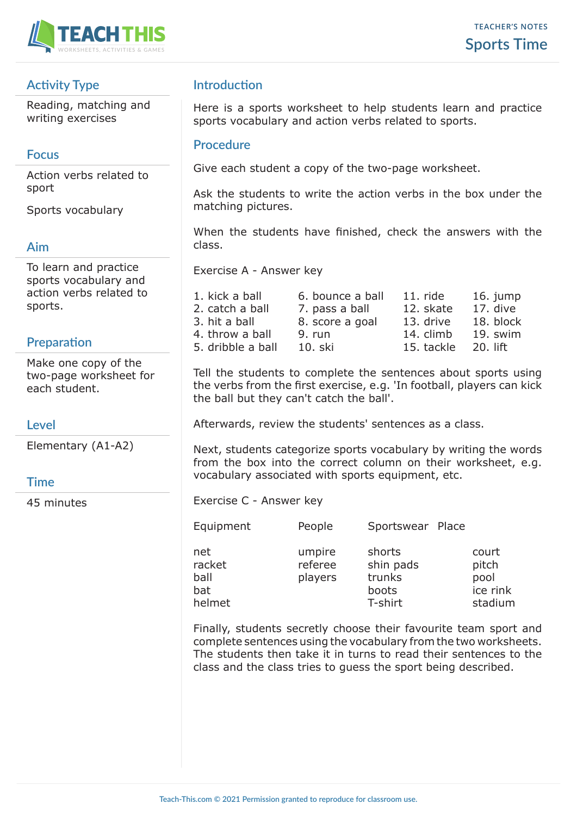

## **Activity Type**

Reading, matching and writing exercises

### **Focus**

Action verbs related to sport

Sports vocabulary

### **Aim**

To learn and practice sports vocabulary and action verbs related to sports.

## **Preparation**

Make one copy of the two-page worksheet for each student.

### **Level**

Elementary (A1-A2)

### **Time**

45 minutes

## **Introduction**

Here is a sports worksheet to help students learn and practice sports vocabulary and action verbs related to sports.

#### **Procedure**

Give each student a copy of the two-page worksheet.

Ask the students to write the action verbs in the box under the matching pictures.

When the students have finished, check the answers with the class.

Exercise A - Answer key

| 1. kick a ball    | 6. bounce a ball | $11.$ ride | 16. jump  |
|-------------------|------------------|------------|-----------|
| 2. catch a ball   | 7. pass a ball   | 12. skate  | 17. dive  |
| 3. hit a ball     | 8. score a goal  | 13. drive  | 18. block |
| 4. throw a ball   | 9. run           | 14. climb  | 19. swim  |
| 5. dribble a ball | 10. ski          | 15. tackle | 20. lift  |

Tell the students to complete the sentences about sports using the verbs from the first exercise, e.g. 'In football, players can kick the ball but they can't catch the ball'.

Afterwards, review the students' sentences as a class.

Next, students categorize sports vocabulary by writing the words from the box into the correct column on their worksheet, e.g. vocabulary associated with sports equipment, etc.

Exercise C - Answer key

| Equipment | People | Sportswear Place |  |
|-----------|--------|------------------|--|
|           |        |                  |  |

| ,, www |  |
|--------|--|
|        |  |
|        |  |
|        |  |

| net    | umpire  | shorts    | court    |
|--------|---------|-----------|----------|
| racket | referee | shin pads | pitch    |
| ball   | players | trunks    | pool     |
| bat    |         | boots     | ice rink |
| helmet |         | T-shirt   | stadium  |
|        |         |           |          |

Finally, students secretly choose their favourite team sport and complete sentences using the vocabulary from the two worksheets. The students then take it in turns to read their sentences to the class and the class tries to guess the sport being described.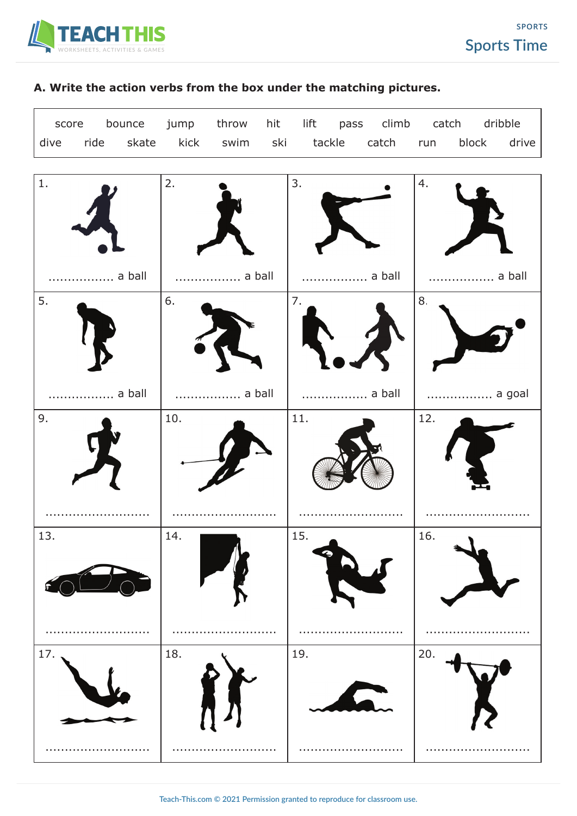

# **A. Write the action verbs from the box under the matching pictures.**

|  | score bounce jump throw hit lift pass climb catch dribble  |  |  |  |  |  |
|--|------------------------------------------------------------|--|--|--|--|--|
|  | dive ride skate kick swim ski tackle catch run block drive |  |  |  |  |  |

| $1. \,$  | 2.     | 3.               | 4.          |
|----------|--------|------------------|-------------|
| a ball   | a ball | a ball           | a ball<br>. |
| 5.       | 6.     | 7.               | $8. \,$     |
| a ball   | a ball | a ball<br>in and | a goal      |
| 9.       | 10.    | 11.              | 12.         |
| 13.      | 14.    | 15.<br>,         | 16.         |
| 17.<br>. | 18.    | 19.<br>.         | 20.<br>     |